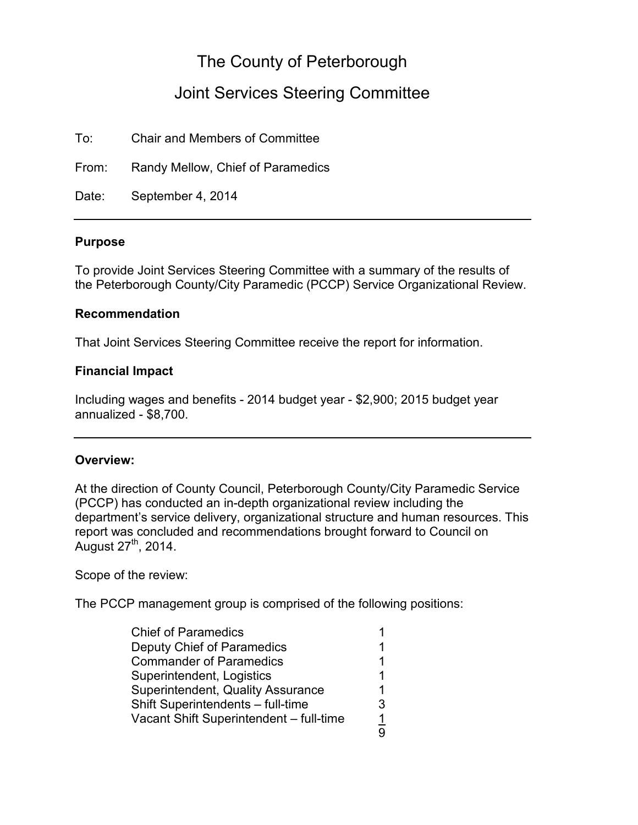# The County of Peterborough

## Joint Services Steering Committee

To: Chair and Members of Committee

From: Randy Mellow, Chief of Paramedics

Date: September 4, 2014

#### **Purpose**

To provide Joint Services Steering Committee with a summary of the results of the Peterborough County/City Paramedic (PCCP) Service Organizational Review.

#### **Recommendation**

That Joint Services Steering Committee receive the report for information.

#### **Financial Impact**

Including wages and benefits - 2014 budget year - \$2,900; 2015 budget year annualized - \$8,700.

#### **Overview:**

At the direction of County Council, Peterborough County/City Paramedic Service (PCCP) has conducted an in-depth organizational review including the department's service delivery, organizational structure and human resources. This report was concluded and recommendations brought forward to Council on August  $27<sup>th</sup>$ , 2014.

Scope of the review:

The PCCP management group is comprised of the following positions:

| Deputy Chief of Paramedics<br><b>Commander of Paramedics</b> |  |
|--------------------------------------------------------------|--|
|                                                              |  |
|                                                              |  |
| Superintendent, Logistics                                    |  |
| Superintendent, Quality Assurance                            |  |
| Shift Superintendents - full-time                            |  |
| Vacant Shift Superintendent - full-time                      |  |
|                                                              |  |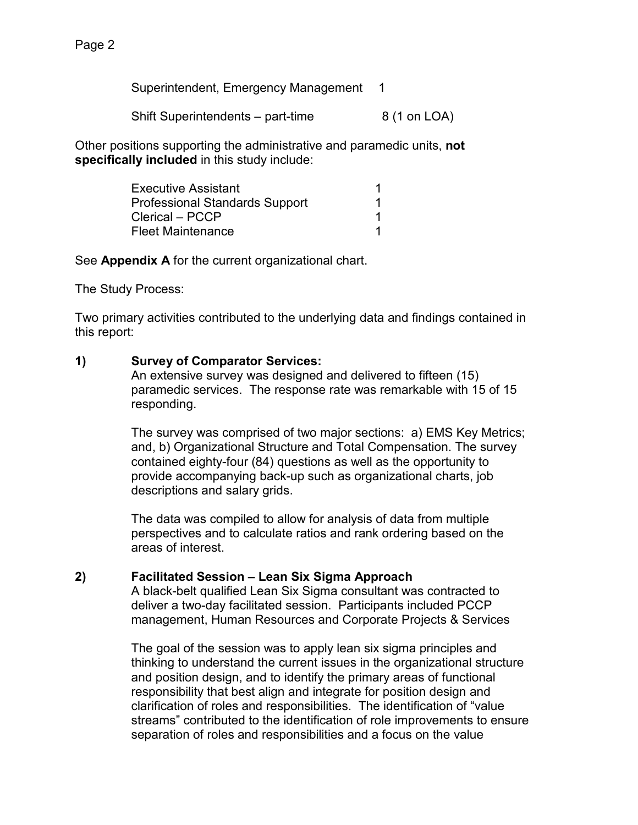Superintendent, Emergency Management 1

Shift Superintendents – part-time  $8(1 \text{ on } LOA)$ 

Other positions supporting the administrative and paramedic units, **not specifically included** in this study include:

| <b>Executive Assistant</b>            |  |
|---------------------------------------|--|
| <b>Professional Standards Support</b> |  |
| Clerical - PCCP                       |  |
| <b>Fleet Maintenance</b>              |  |

See **Appendix A** for the current organizational chart.

The Study Process:

Two primary activities contributed to the underlying data and findings contained in this report:

## **1) Survey of Comparator Services:**

An extensive survey was designed and delivered to fifteen (15) paramedic services. The response rate was remarkable with 15 of 15 responding.

The survey was comprised of two major sections: a) EMS Key Metrics; and, b) Organizational Structure and Total Compensation. The survey contained eighty-four (84) questions as well as the opportunity to provide accompanying back-up such as organizational charts, job descriptions and salary grids.

The data was compiled to allow for analysis of data from multiple perspectives and to calculate ratios and rank ordering based on the areas of interest.

## **2) Facilitated Session – Lean Six Sigma Approach**

A black-belt qualified Lean Six Sigma consultant was contracted to deliver a two-day facilitated session. Participants included PCCP management, Human Resources and Corporate Projects & Services

The goal of the session was to apply lean six sigma principles and thinking to understand the current issues in the organizational structure and position design, and to identify the primary areas of functional responsibility that best align and integrate for position design and clarification of roles and responsibilities. The identification of "value streams" contributed to the identification of role improvements to ensure separation of roles and responsibilities and a focus on the value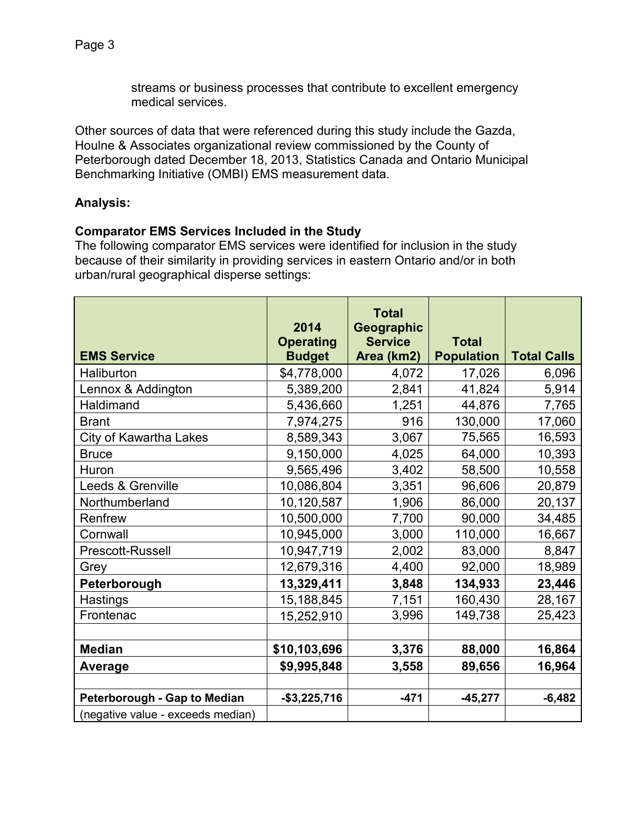streams or business processes that contribute to excellent emergency medical services.

Other sources of data that were referenced during this study include the Gazda, Houlne & Associates organizational review commissioned by the County of Peterborough dated December 18, 2013, Statistics Canada and Ontario Municipal Benchmarking Initiative (OMBI) EMS measurement data.

## **Analysis:**

## **Comparator EMS Services Included in the Study**

The following comparator EMS services were identified for inclusion in the study because of their similarity in providing services in eastern Ontario and/or in both urban/rural geographical disperse settings:

|                                   | 2014<br><b>Operating</b> | <b>Total</b><br>Geographic<br><b>Service</b> | <b>Total</b>      |                    |
|-----------------------------------|--------------------------|----------------------------------------------|-------------------|--------------------|
| <b>EMS Service</b>                | <b>Budget</b>            | Area (km2)                                   | <b>Population</b> | <b>Total Calls</b> |
| Haliburton                        | \$4,778,000              | 4,072                                        | 17,026            | 6,096              |
| Lennox & Addington                | 5,389,200                | 2,841                                        | 41,824            | 5,914              |
| Haldimand                         | 5,436,660                | 1,251                                        | 44,876            | 7,765              |
| <b>Brant</b>                      | 7,974,275                | 916                                          | 130,000           | 17,060             |
| <b>City of Kawartha Lakes</b>     | 8,589,343                | 3,067                                        | 75,565            | 16,593             |
| <b>Bruce</b>                      | 9,150,000                | 4,025                                        | 64,000            | 10,393             |
| Huron                             | 9,565,496                | 3,402                                        | 58,500            | 10,558             |
| Leeds & Grenville                 | 10,086,804               | 3,351                                        | 96,606            | 20,879             |
| Northumberland                    | 10,120,587               | 1,906                                        | 86,000            | 20,137             |
| Renfrew                           | 10,500,000               | 7,700                                        | 90,000            | 34,485             |
| Cornwall                          | 10,945,000               | 3,000                                        | 110,000           | 16,667             |
| Prescott-Russell                  | 10,947,719               | 2,002                                        | 83,000            | 8,847              |
| Grey                              | 12,679,316               | 4,400                                        | 92,000            | 18,989             |
| Peterborough                      | 13,329,411               | 3,848                                        | 134,933           | 23,446             |
| Hastings                          | 15,188,845               | 7,151                                        | 160,430           | 28,167             |
| Frontenac                         | 15,252,910               | 3,996                                        | 149,738           | 25,423             |
|                                   |                          |                                              |                   |                    |
| <b>Median</b>                     | \$10,103,696             | 3,376                                        | 88,000            | 16,864             |
| <b>Average</b>                    | \$9,995,848              | 3,558                                        | 89,656            | 16,964             |
|                                   |                          |                                              |                   |                    |
| Peterborough - Gap to Median      | $-$3,225,716$            | $-471$                                       | $-45,277$         | $-6,482$           |
| (negative value - exceeds median) |                          |                                              |                   |                    |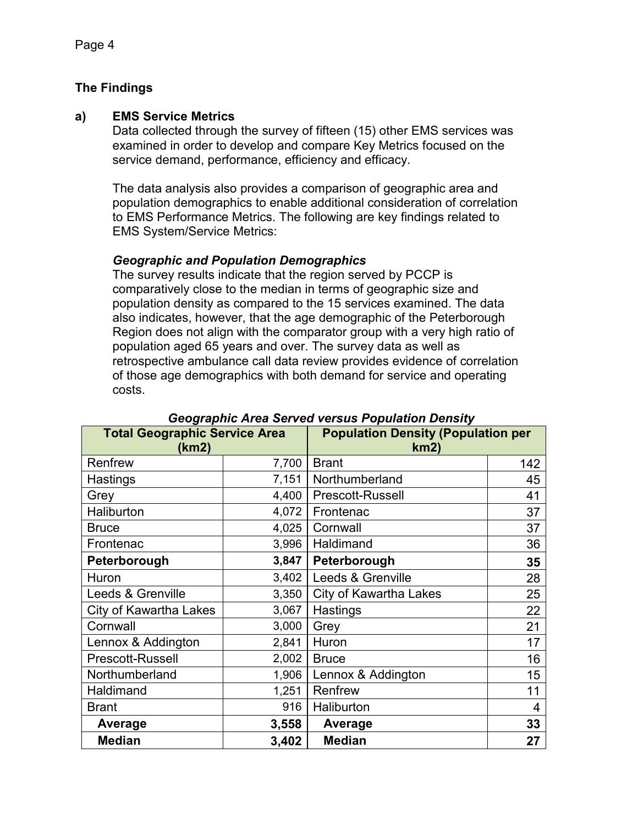## **The Findings**

## **a) EMS Service Metrics**

Data collected through the survey of fifteen (15) other EMS services was examined in order to develop and compare Key Metrics focused on the service demand, performance, efficiency and efficacy.

The data analysis also provides a comparison of geographic area and population demographics to enable additional consideration of correlation to EMS Performance Metrics. The following are key findings related to EMS System/Service Metrics:

## *Geographic and Population Demographics*

The survey results indicate that the region served by PCCP is comparatively close to the median in terms of geographic size and population density as compared to the 15 services examined. The data also indicates, however, that the age demographic of the Peterborough Region does not align with the comparator group with a very high ratio of population aged 65 years and over. The survey data as well as retrospective ambulance call data review provides evidence of correlation of those age demographics with both demand for service and operating costs.

| <b>Total Geographic Service Area</b><br>(km2) |       | <b>Population Density (Population per</b><br>km2) |     |
|-----------------------------------------------|-------|---------------------------------------------------|-----|
| Renfrew                                       | 7,700 | <b>Brant</b>                                      | 142 |
| Hastings                                      | 7,151 | Northumberland                                    | 45  |
| Grey                                          | 4,400 | Prescott-Russell                                  | 41  |
| Haliburton                                    | 4,072 | Frontenac                                         | 37  |
| <b>Bruce</b>                                  | 4,025 | Cornwall                                          | 37  |
| Frontenac                                     | 3,996 | Haldimand                                         | 36  |
| Peterborough                                  | 3,847 | Peterborough                                      | 35  |
| Huron                                         | 3,402 | Leeds & Grenville                                 | 28  |
| Leeds & Grenville                             | 3,350 | <b>City of Kawartha Lakes</b>                     | 25  |
| City of Kawartha Lakes                        | 3,067 | Hastings                                          | 22  |
| Cornwall                                      | 3,000 | Grey                                              | 21  |
| Lennox & Addington                            | 2,841 | Huron                                             | 17  |
| Prescott-Russell                              | 2,002 | <b>Bruce</b>                                      | 16  |
| Northumberland                                | 1,906 | Lennox & Addington                                | 15  |
| Haldimand                                     | 1,251 | Renfrew                                           | 11  |
| <b>Brant</b>                                  | 916   | Haliburton                                        | 4   |
| Average                                       | 3,558 | Average                                           | 33  |
| <b>Median</b>                                 | 3,402 | <b>Median</b>                                     | 27  |

## *Geographic Area Served versus Population Density*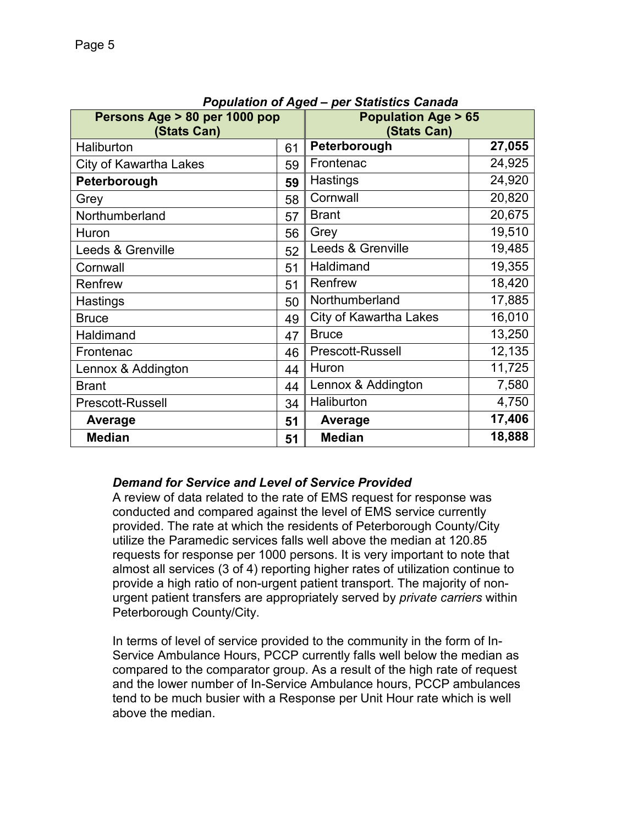| Persons Age > 80 per 1000 pop<br>(Stats Can) |    | , opulution of nyea<br>per otationes cariada<br><b>Population Age &gt; 65</b><br>(Stats Can) |        |
|----------------------------------------------|----|----------------------------------------------------------------------------------------------|--------|
| Haliburton                                   | 61 | Peterborough                                                                                 | 27,055 |
| City of Kawartha Lakes                       | 59 | Frontenac                                                                                    | 24,925 |
| Peterborough                                 | 59 | Hastings                                                                                     | 24,920 |
| Grey                                         | 58 | Cornwall                                                                                     | 20,820 |
| Northumberland                               | 57 | <b>Brant</b>                                                                                 | 20,675 |
| Huron                                        | 56 | Grey                                                                                         | 19,510 |
| Leeds & Grenville                            | 52 | Leeds & Grenville                                                                            | 19,485 |
| Cornwall                                     | 51 | Haldimand                                                                                    | 19,355 |
| Renfrew                                      | 51 | Renfrew                                                                                      | 18,420 |
| Hastings                                     | 50 | Northumberland                                                                               | 17,885 |
| <b>Bruce</b>                                 | 49 | <b>City of Kawartha Lakes</b>                                                                | 16,010 |
| Haldimand                                    | 47 | <b>Bruce</b>                                                                                 | 13,250 |
| Frontenac                                    | 46 | Prescott-Russell                                                                             | 12,135 |
| Lennox & Addington                           | 44 | Huron                                                                                        | 11,725 |
| <b>Brant</b>                                 | 44 | Lennox & Addington                                                                           | 7,580  |
| Prescott-Russell                             | 34 | Haliburton                                                                                   | 4,750  |
| Average                                      | 51 | Average                                                                                      | 17,406 |
| <b>Median</b>                                | 51 | <b>Median</b>                                                                                | 18,888 |

#### *Population of Aged – per Statistics Canada*

## *Demand for Service and Level of Service Provided*

A review of data related to the rate of EMS request for response was conducted and compared against the level of EMS service currently provided. The rate at which the residents of Peterborough County/City utilize the Paramedic services falls well above the median at 120.85 requests for response per 1000 persons. It is very important to note that almost all services (3 of 4) reporting higher rates of utilization continue to provide a high ratio of non-urgent patient transport. The majority of nonurgent patient transfers are appropriately served by *private carriers* within Peterborough County/City.

In terms of level of service provided to the community in the form of In-Service Ambulance Hours, PCCP currently falls well below the median as compared to the comparator group. As a result of the high rate of request and the lower number of In-Service Ambulance hours, PCCP ambulances tend to be much busier with a Response per Unit Hour rate which is well above the median.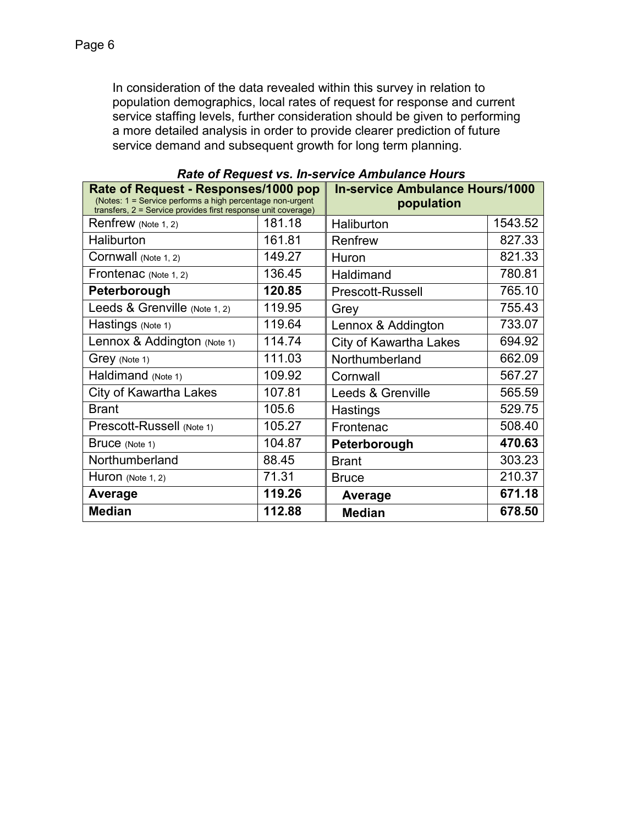In consideration of the data revealed within this survey in relation to population demographics, local rates of request for response and current service staffing levels, further consideration should be given to performing a more detailed analysis in order to provide clearer prediction of future service demand and subsequent growth for long term planning.

| raac or raggeoc vor m c<br>Rate of Request - Responses/1000 pop                                                            |        | <b>In-service Ambulance Hours/1000</b> |         |
|----------------------------------------------------------------------------------------------------------------------------|--------|----------------------------------------|---------|
| (Notes: 1 = Service performs a high percentage non-urgent<br>transfers, 2 = Service provides first response unit coverage) |        | population                             |         |
| Renfrew (Note 1, 2)                                                                                                        | 181.18 | Haliburton                             | 1543.52 |
| Haliburton                                                                                                                 | 161.81 | Renfrew                                | 827.33  |
| Cornwall (Note 1, 2)                                                                                                       | 149.27 | Huron                                  | 821.33  |
| Frontenac (Note 1, 2)                                                                                                      | 136.45 | Haldimand                              | 780.81  |
| Peterborough                                                                                                               | 120.85 | Prescott-Russell                       | 765.10  |
| Leeds & Grenville (Note 1, 2)                                                                                              | 119.95 | Grey                                   | 755.43  |
| Hastings (Note 1)                                                                                                          | 119.64 | Lennox & Addington                     | 733.07  |
| Lennox & Addington (Note 1)                                                                                                | 114.74 | <b>City of Kawartha Lakes</b>          | 694.92  |
| Grey (Note 1)                                                                                                              | 111.03 | Northumberland                         | 662.09  |
| Haldimand (Note 1)                                                                                                         | 109.92 | Cornwall                               | 567.27  |
| City of Kawartha Lakes                                                                                                     | 107.81 | Leeds & Grenville                      | 565.59  |
| <b>Brant</b>                                                                                                               | 105.6  | Hastings                               | 529.75  |
| Prescott-Russell (Note 1)                                                                                                  | 105.27 | Frontenac                              | 508.40  |
| Bruce (Note 1)                                                                                                             | 104.87 | Peterborough                           | 470.63  |
| Northumberland                                                                                                             | 88.45  | <b>Brant</b>                           | 303.23  |
| Huron (Note 1, 2)                                                                                                          | 71.31  | <b>Bruce</b>                           | 210.37  |
| Average                                                                                                                    | 119.26 | Average                                | 671.18  |
| <b>Median</b>                                                                                                              | 112.88 | <b>Median</b>                          | 678.50  |

*Rate of Request vs. In-service Ambulance Hours*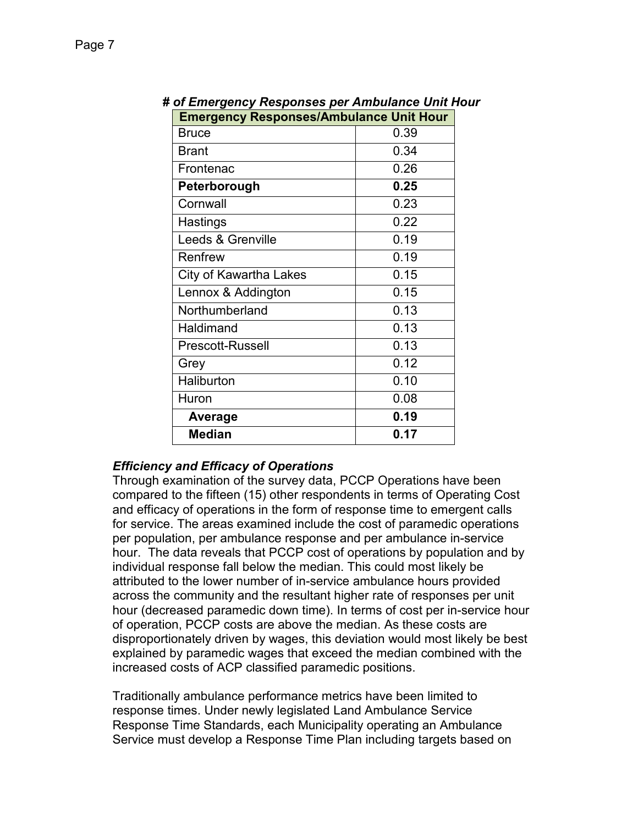| <b>Emergency Responses/Ambulance Unit Hour</b> |      |  |
|------------------------------------------------|------|--|
| <b>Bruce</b>                                   | 0.39 |  |
| <b>Brant</b>                                   | 0.34 |  |
| Frontenac                                      | 0.26 |  |
| Peterborough                                   | 0.25 |  |
| Cornwall                                       | 0.23 |  |
| Hastings                                       | 0.22 |  |
| Leeds & Grenville                              | 0.19 |  |
| Renfrew                                        | 0.19 |  |
| City of Kawartha Lakes                         | 0.15 |  |
| Lennox & Addington                             | 0.15 |  |
| Northumberland                                 | 0.13 |  |
| Haldimand                                      | 0.13 |  |
| <b>Prescott-Russell</b>                        | 0.13 |  |
| Grey                                           | 0.12 |  |
| Haliburton                                     | 0.10 |  |
| Huron                                          | 0.08 |  |
| <b>Average</b>                                 | 0.19 |  |
| <b>Median</b>                                  | 0.17 |  |

# *# of Emergency Responses per Ambulance Unit Hour*

## *Efficiency and Efficacy of Operations*

Through examination of the survey data, PCCP Operations have been compared to the fifteen (15) other respondents in terms of Operating Cost and efficacy of operations in the form of response time to emergent calls for service. The areas examined include the cost of paramedic operations per population, per ambulance response and per ambulance in-service hour. The data reveals that PCCP cost of operations by population and by individual response fall below the median. This could most likely be attributed to the lower number of in-service ambulance hours provided across the community and the resultant higher rate of responses per unit hour (decreased paramedic down time). In terms of cost per in-service hour of operation, PCCP costs are above the median. As these costs are disproportionately driven by wages, this deviation would most likely be best explained by paramedic wages that exceed the median combined with the increased costs of ACP classified paramedic positions.

Traditionally ambulance performance metrics have been limited to response times. Under newly legislated Land Ambulance Service Response Time Standards, each Municipality operating an Ambulance Service must develop a Response Time Plan including targets based on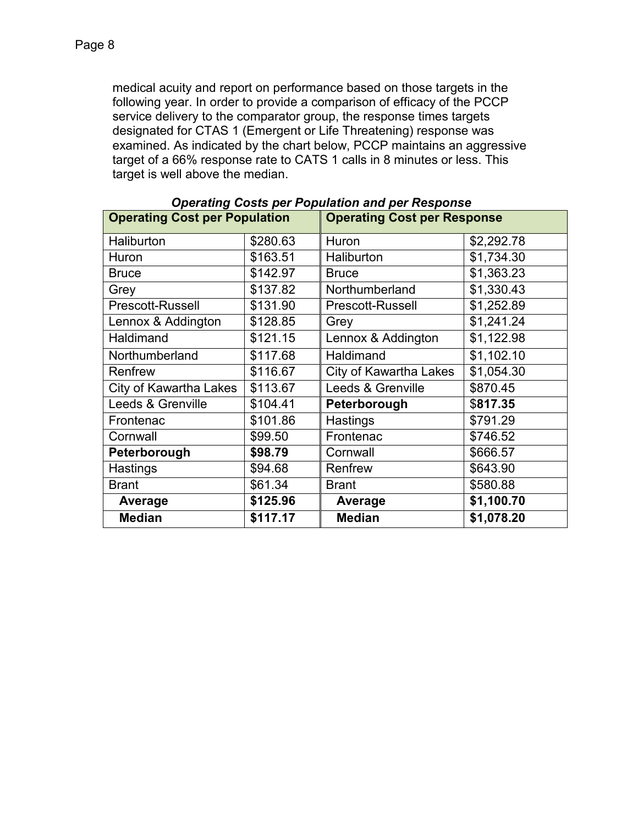medical acuity and report on performance based on those targets in the following year. In order to provide a comparison of efficacy of the PCCP service delivery to the comparator group, the response times targets designated for CTAS 1 (Emergent or Life Threatening) response was examined. As indicated by the chart below, PCCP maintains an aggressive target of a 66% response rate to CATS 1 calls in 8 minutes or less. This target is well above the median.

| <b>Operating Cost per Population</b> |          | Operating Obsts per reputation and per response<br><b>Operating Cost per Response</b> |            |
|--------------------------------------|----------|---------------------------------------------------------------------------------------|------------|
| Haliburton                           | \$280.63 | Huron                                                                                 | \$2,292.78 |
| Huron                                | \$163.51 | Haliburton                                                                            | \$1,734.30 |
| <b>Bruce</b>                         | \$142.97 | <b>Bruce</b>                                                                          | \$1,363.23 |
| Grey                                 | \$137.82 | Northumberland                                                                        | \$1,330.43 |
| <b>Prescott-Russell</b>              | \$131.90 | <b>Prescott-Russell</b>                                                               | \$1,252.89 |
| Lennox & Addington                   | \$128.85 | Grey                                                                                  | \$1,241.24 |
| Haldimand                            | \$121.15 | Lennox & Addington                                                                    | \$1,122.98 |
| Northumberland                       | \$117.68 | Haldimand                                                                             | \$1,102.10 |
| Renfrew                              | \$116.67 | <b>City of Kawartha Lakes</b>                                                         | \$1,054.30 |
| City of Kawartha Lakes               | \$113.67 | Leeds & Grenville                                                                     | \$870.45   |
| Leeds & Grenville                    | \$104.41 | Peterborough                                                                          | \$817.35   |
| Frontenac                            | \$101.86 | Hastings                                                                              | \$791.29   |
| Cornwall                             | \$99.50  | Frontenac                                                                             | \$746.52   |
| Peterborough                         | \$98.79  | Cornwall                                                                              | \$666.57   |
| Hastings                             | \$94.68  | Renfrew                                                                               | \$643.90   |
| <b>Brant</b>                         | \$61.34  | <b>Brant</b>                                                                          | \$580.88   |
| Average                              | \$125.96 | Average                                                                               | \$1,100.70 |
| <b>Median</b>                        | \$117.17 | <b>Median</b>                                                                         | \$1,078.20 |

| <b>Operating Costs per Population and per Response</b> |  |
|--------------------------------------------------------|--|
|                                                        |  |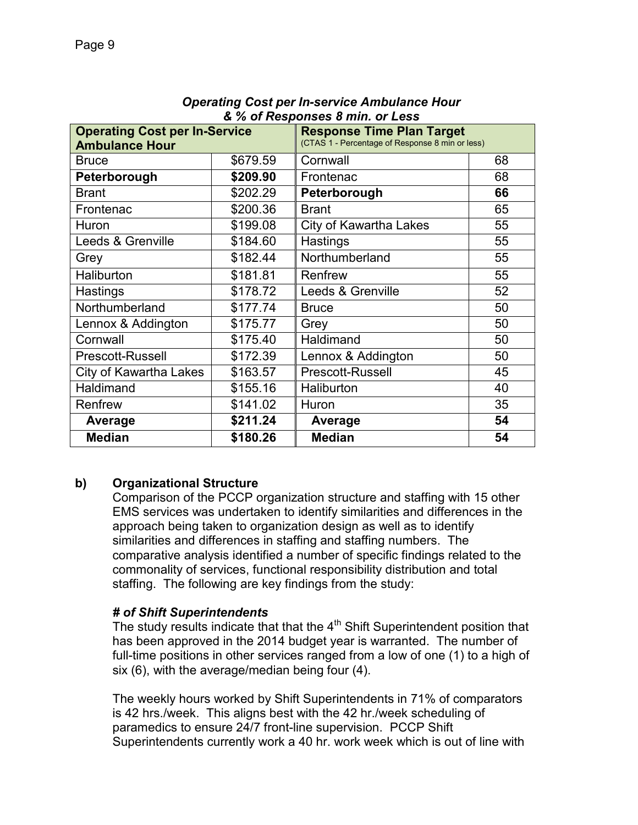| <b>Operating Cost per In-Service</b><br><b>Ambulance Hour</b> |          | <b>Response Time Plan Target</b><br>(CTAS 1 - Percentage of Response 8 min or less) |    |
|---------------------------------------------------------------|----------|-------------------------------------------------------------------------------------|----|
| <b>Bruce</b>                                                  | \$679.59 | Cornwall                                                                            | 68 |
| Peterborough                                                  | \$209.90 | Frontenac                                                                           | 68 |
| <b>Brant</b>                                                  | \$202.29 | Peterborough                                                                        | 66 |
| Frontenac                                                     | \$200.36 | <b>Brant</b>                                                                        | 65 |
| Huron                                                         | \$199.08 | <b>City of Kawartha Lakes</b>                                                       | 55 |
| Leeds & Grenville                                             | \$184.60 | Hastings                                                                            | 55 |
| Grey                                                          | \$182.44 | Northumberland                                                                      | 55 |
| Haliburton                                                    | \$181.81 | Renfrew                                                                             | 55 |
| Hastings                                                      | \$178.72 | Leeds & Grenville                                                                   | 52 |
| Northumberland                                                | \$177.74 | <b>Bruce</b>                                                                        | 50 |
| Lennox & Addington                                            | \$175.77 | Grey                                                                                | 50 |
| Cornwall                                                      | \$175.40 | Haldimand                                                                           | 50 |
| Prescott-Russell                                              | \$172.39 | Lennox & Addington                                                                  | 50 |
| <b>City of Kawartha Lakes</b>                                 | \$163.57 | Prescott-Russell                                                                    | 45 |
| Haldimand                                                     | \$155.16 | Haliburton                                                                          | 40 |
| Renfrew                                                       | \$141.02 | Huron                                                                               | 35 |
| Average                                                       | \$211.24 | Average                                                                             | 54 |
| <b>Median</b>                                                 | \$180.26 | <b>Median</b>                                                                       | 54 |

#### *Operating Cost per In-service Ambulance Hour & % of Responses 8 min. or Less*

## **b) Organizational Structure**

Comparison of the PCCP organization structure and staffing with 15 other EMS services was undertaken to identify similarities and differences in the approach being taken to organization design as well as to identify similarities and differences in staffing and staffing numbers. The comparative analysis identified a number of specific findings related to the commonality of services, functional responsibility distribution and total staffing. The following are key findings from the study:

## *# of Shift Superintendents*

The study results indicate that that the  $4<sup>th</sup>$  Shift Superintendent position that has been approved in the 2014 budget year is warranted. The number of full-time positions in other services ranged from a low of one (1) to a high of six (6), with the average/median being four (4).

The weekly hours worked by Shift Superintendents in 71% of comparators is 42 hrs./week. This aligns best with the 42 hr./week scheduling of paramedics to ensure 24/7 front-line supervision. PCCP Shift Superintendents currently work a 40 hr. work week which is out of line with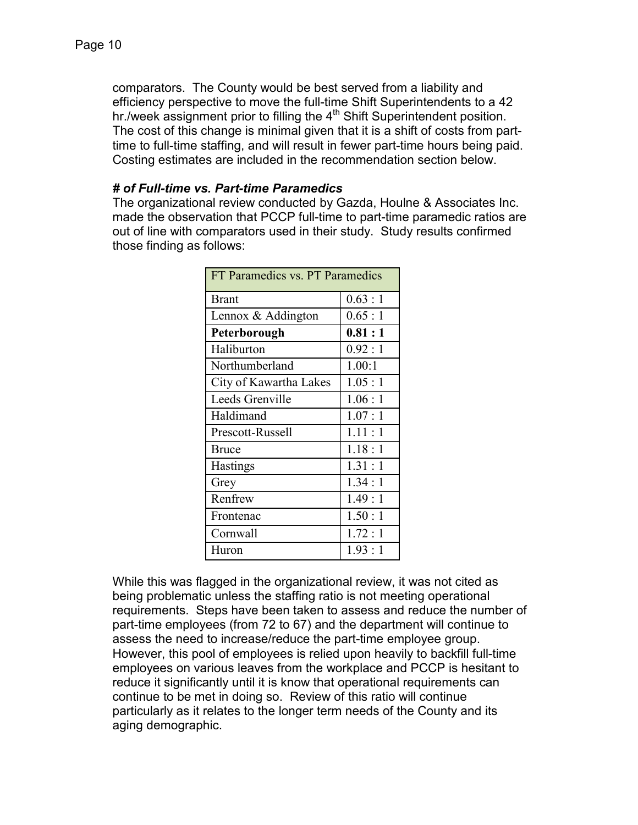comparators. The County would be best served from a liability and efficiency perspective to move the full-time Shift Superintendents to a 42 hr./week assignment prior to filling the  $4<sup>th</sup>$  Shift Superintendent position. The cost of this change is minimal given that it is a shift of costs from parttime to full-time staffing, and will result in fewer part-time hours being paid. Costing estimates are included in the recommendation section below.

## *# of Full-time vs. Part-time Paramedics*

The organizational review conducted by Gazda, Houlne & Associates Inc. made the observation that PCCP full-time to part-time paramedic ratios are out of line with comparators used in their study. Study results confirmed those finding as follows:

| FT Paramedics vs. PT Paramedics |          |  |  |
|---------------------------------|----------|--|--|
| <b>Brant</b>                    | 0.63 : 1 |  |  |
| Lennox & Addington              | 0.65:1   |  |  |
| Peterborough                    | 0.81:1   |  |  |
| Haliburton                      | 0.92:1   |  |  |
| Northumberland                  | 1.00:1   |  |  |
| City of Kawartha Lakes          | 1.05:1   |  |  |
| Leeds Grenville                 | 1.06:1   |  |  |
| Haldimand                       | 1.07:1   |  |  |
| Prescott-Russell                | 1.11:1   |  |  |
| Bruce                           | 1.18:1   |  |  |
| <b>Hastings</b>                 | 1.31:1   |  |  |
| Grey                            | 1.34:1   |  |  |
| Renfrew                         | 1.49:1   |  |  |
| Frontenac                       | 1.50:1   |  |  |
| Cornwall                        | 1.72:1   |  |  |
| Huron                           | 1.93:1   |  |  |

While this was flagged in the organizational review, it was not cited as being problematic unless the staffing ratio is not meeting operational requirements. Steps have been taken to assess and reduce the number of part-time employees (from 72 to 67) and the department will continue to assess the need to increase/reduce the part-time employee group. However, this pool of employees is relied upon heavily to backfill full-time employees on various leaves from the workplace and PCCP is hesitant to reduce it significantly until it is know that operational requirements can continue to be met in doing so. Review of this ratio will continue particularly as it relates to the longer term needs of the County and its aging demographic.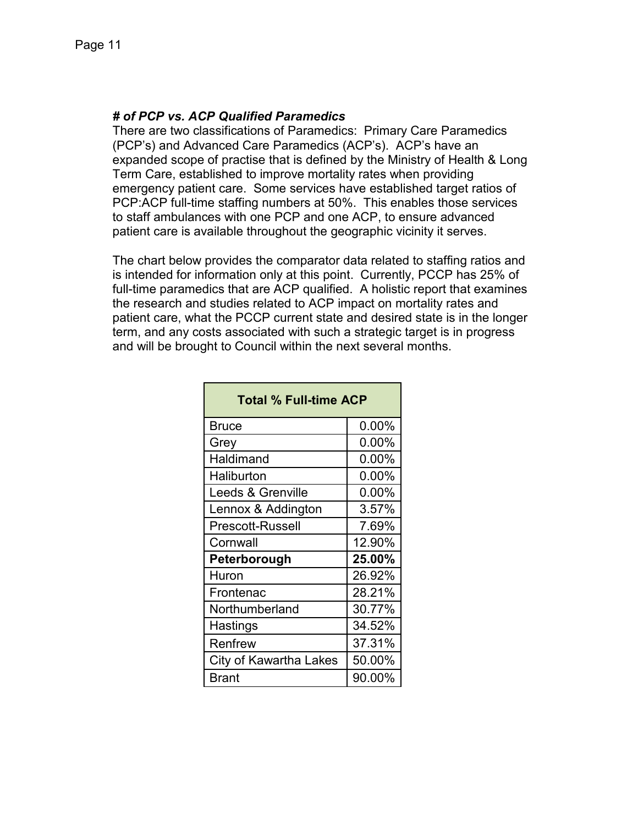## *# of PCP vs. ACP Qualified Paramedics*

There are two classifications of Paramedics: Primary Care Paramedics (PCP's) and Advanced Care Paramedics (ACP's). ACP's have an expanded scope of practise that is defined by the Ministry of Health & Long Term Care, established to improve mortality rates when providing emergency patient care. Some services have established target ratios of PCP:ACP full-time staffing numbers at 50%. This enables those services to staff ambulances with one PCP and one ACP, to ensure advanced patient care is available throughout the geographic vicinity it serves.

The chart below provides the comparator data related to staffing ratios and is intended for information only at this point. Currently, PCCP has 25% of full-time paramedics that are ACP qualified. A holistic report that examines the research and studies related to ACP impact on mortality rates and patient care, what the PCCP current state and desired state is in the longer term, and any costs associated with such a strategic target is in progress and will be brought to Council within the next several months.

| <b>Total % Full-time ACP</b> |          |  |  |  |
|------------------------------|----------|--|--|--|
| <b>Bruce</b>                 | $0.00\%$ |  |  |  |
| Grey                         | $0.00\%$ |  |  |  |
| Haldimand                    | $0.00\%$ |  |  |  |
| Haliburton                   | $0.00\%$ |  |  |  |
| Leeds & Grenville            | $0.00\%$ |  |  |  |
| Lennox & Addington           | 3.57%    |  |  |  |
| <b>Prescott-Russell</b>      | 7.69%    |  |  |  |
| Cornwall                     | 12.90%   |  |  |  |
| Peterborough                 | 25.00%   |  |  |  |
| Huron                        | 26.92%   |  |  |  |
| Frontenac                    | 28.21%   |  |  |  |
| Northumberland               | 30.77%   |  |  |  |
| <b>Hastings</b>              | 34.52%   |  |  |  |
| Renfrew                      | 37.31%   |  |  |  |
| City of Kawartha Lakes       | 50.00%   |  |  |  |
| Brant                        | 90.00%   |  |  |  |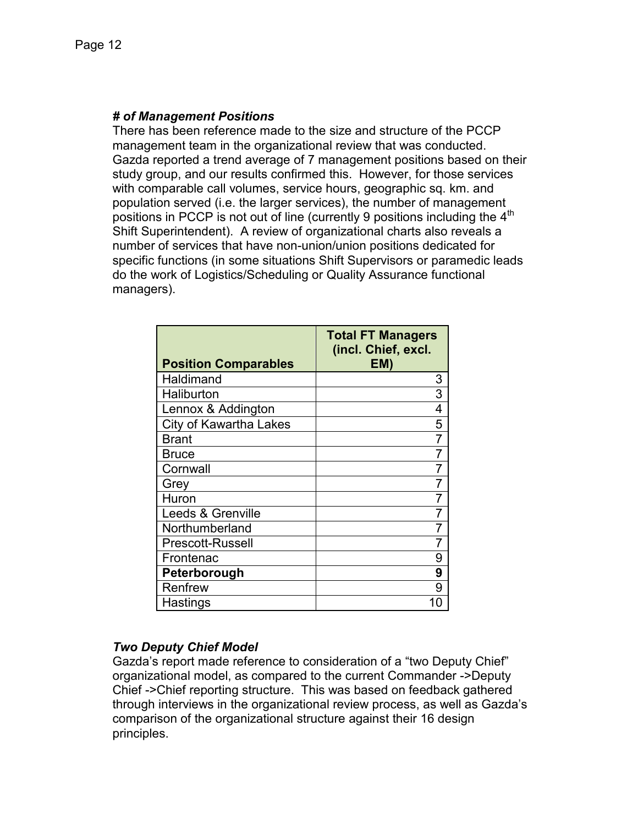## *# of Management Positions*

There has been reference made to the size and structure of the PCCP management team in the organizational review that was conducted. Gazda reported a trend average of 7 management positions based on their study group, and our results confirmed this. However, for those services with comparable call volumes, service hours, geographic sq. km. and population served (i.e. the larger services), the number of management positions in PCCP is not out of line (currently 9 positions including the 4<sup>th</sup> Shift Superintendent). A review of organizational charts also reveals a number of services that have non-union/union positions dedicated for specific functions (in some situations Shift Supervisors or paramedic leads do the work of Logistics/Scheduling or Quality Assurance functional managers).

| <b>Position Comparables</b>   | <b>Total FT Managers</b><br>(incl. Chief, excl.<br>EM) |
|-------------------------------|--------------------------------------------------------|
| Haldimand                     | 3                                                      |
| Haliburton                    | 3                                                      |
| Lennox & Addington            | 4                                                      |
| <b>City of Kawartha Lakes</b> | 5                                                      |
| <b>Brant</b>                  |                                                        |
| <b>Bruce</b>                  |                                                        |
| Cornwall                      |                                                        |
| Grey                          |                                                        |
| Huron                         |                                                        |
| Leeds & Grenville             |                                                        |
| Northumberland                |                                                        |
| <b>Prescott-Russell</b>       |                                                        |
| Frontenac                     | 9                                                      |
| Peterborough                  | 9                                                      |
| Renfrew                       | 9                                                      |
| Hastings                      |                                                        |

## *Two Deputy Chief Model*

Gazda's report made reference to consideration of a "two Deputy Chief" organizational model, as compared to the current Commander ->Deputy Chief ->Chief reporting structure. This was based on feedback gathered through interviews in the organizational review process, as well as Gazda's comparison of the organizational structure against their 16 design principles.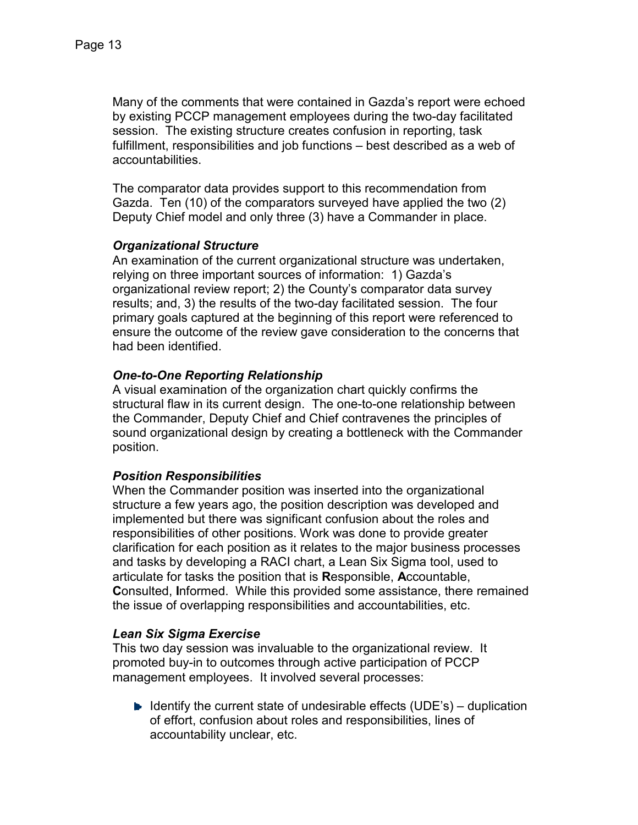Many of the comments that were contained in Gazda's report were echoed by existing PCCP management employees during the two-day facilitated session. The existing structure creates confusion in reporting, task fulfillment, responsibilities and job functions – best described as a web of accountabilities.

The comparator data provides support to this recommendation from Gazda. Ten (10) of the comparators surveyed have applied the two (2) Deputy Chief model and only three (3) have a Commander in place.

## *Organizational Structure*

An examination of the current organizational structure was undertaken, relying on three important sources of information: 1) Gazda's organizational review report; 2) the County's comparator data survey results; and, 3) the results of the two-day facilitated session. The four primary goals captured at the beginning of this report were referenced to ensure the outcome of the review gave consideration to the concerns that had been identified.

## *One-to-One Reporting Relationship*

A visual examination of the organization chart quickly confirms the structural flaw in its current design. The one-to-one relationship between the Commander, Deputy Chief and Chief contravenes the principles of sound organizational design by creating a bottleneck with the Commander position.

## *Position Responsibilities*

When the Commander position was inserted into the organizational structure a few years ago, the position description was developed and implemented but there was significant confusion about the roles and responsibilities of other positions. Work was done to provide greater clarification for each position as it relates to the major business processes and tasks by developing a RACI chart, a Lean Six Sigma tool, used to articulate for tasks the position that is **R**esponsible, **A**ccountable, **C**onsulted, **I**nformed. While this provided some assistance, there remained the issue of overlapping responsibilities and accountabilities, etc.

## *Lean Six Sigma Exercise*

This two day session was invaluable to the organizational review. It promoted buy-in to outcomes through active participation of PCCP management employees. It involved several processes:

 $\blacktriangleright$  Identify the current state of undesirable effects (UDE's) – duplication of effort, confusion about roles and responsibilities, lines of accountability unclear, etc.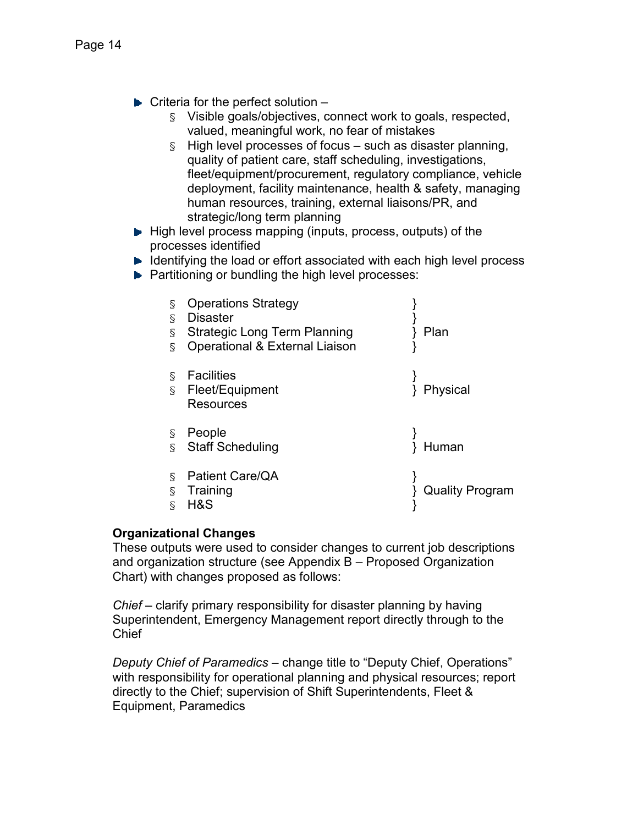- $\blacktriangleright$  Criteria for the perfect solution  $-$ 
	- § Visible goals/objectives, connect work to goals, respected, valued, meaningful work, no fear of mistakes
	- $\S$  High level processes of focus such as disaster planning, quality of patient care, staff scheduling, investigations, fleet/equipment/procurement, regulatory compliance, vehicle deployment, facility maintenance, health & safety, managing human resources, training, external liaisons/PR, and strategic/long term planning
- $\blacktriangleright$  High level process mapping (inputs, process, outputs) of the processes identified
- $\blacktriangleright$  Identifying the load or effort associated with each high level process
- **Partitioning or bundling the high level processes:**

| g<br>Š<br>g<br>Š    | <b>Operations Strategy</b><br><b>Disaster</b><br><b>Strategic Long Term Planning</b><br>Operational & External Liaison | Plan                   |
|---------------------|------------------------------------------------------------------------------------------------------------------------|------------------------|
| S<br>Š.             | <b>Facilities</b><br>Fleet/Equipment<br><b>Resources</b>                                                               | Physical               |
| S<br>$\overline{S}$ | People<br><b>Staff Scheduling</b>                                                                                      | Human                  |
| S<br>Š<br>ξ         | Patient Care/QA<br>Training<br>H&S                                                                                     | <b>Quality Program</b> |

#### **Organizational Changes**

These outputs were used to consider changes to current job descriptions and organization structure (see Appendix B – Proposed Organization Chart) with changes proposed as follows:

*Chief* – clarify primary responsibility for disaster planning by having Superintendent, Emergency Management report directly through to the Chief

*Deputy Chief of Paramedics* – change title to "Deputy Chief, Operations" with responsibility for operational planning and physical resources; report directly to the Chief; supervision of Shift Superintendents, Fleet & Equipment, Paramedics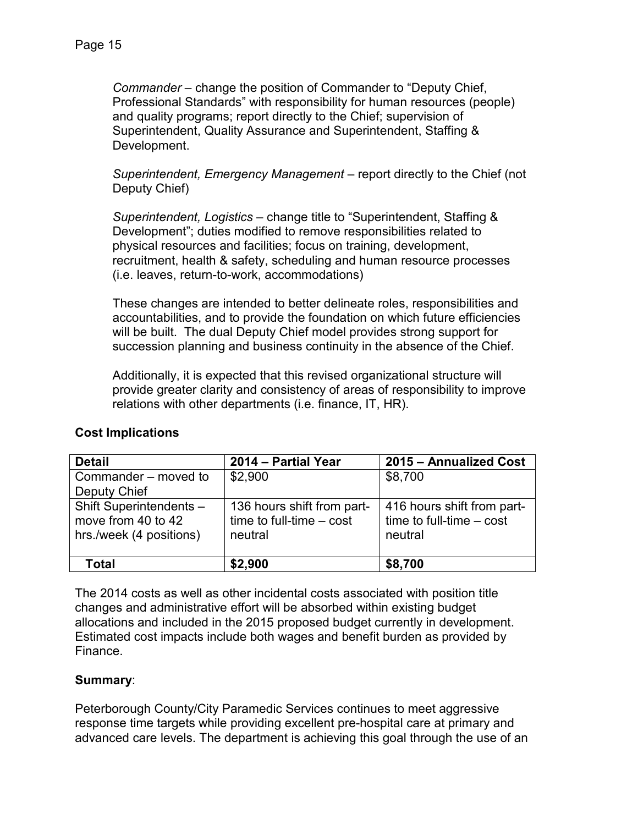*Commander* – change the position of Commander to "Deputy Chief, Professional Standards" with responsibility for human resources (people) and quality programs; report directly to the Chief; supervision of Superintendent, Quality Assurance and Superintendent, Staffing & Development.

*Superintendent, Emergency Management* – report directly to the Chief (not Deputy Chief)

*Superintendent, Logistics* – change title to "Superintendent, Staffing & Development"; duties modified to remove responsibilities related to physical resources and facilities; focus on training, development, recruitment, health & safety, scheduling and human resource processes (i.e. leaves, return-to-work, accommodations)

These changes are intended to better delineate roles, responsibilities and accountabilities, and to provide the foundation on which future efficiencies will be built. The dual Deputy Chief model provides strong support for succession planning and business continuity in the absence of the Chief.

Additionally, it is expected that this revised organizational structure will provide greater clarity and consistency of areas of responsibility to improve relations with other departments (i.e. finance, IT, HR).

| <b>Detail</b>                                                            | 2014 - Partial Year                                                 | 2015 - Annualized Cost                                              |
|--------------------------------------------------------------------------|---------------------------------------------------------------------|---------------------------------------------------------------------|
| Commander – moved to                                                     | \$2,900                                                             | \$8,700                                                             |
| Deputy Chief                                                             |                                                                     |                                                                     |
| Shift Superintendents -<br>move from 40 to 42<br>hrs./week (4 positions) | 136 hours shift from part-<br>time to full-time $-$ cost<br>neutral | 416 hours shift from part-<br>time to full-time $-$ cost<br>neutral |
| Total                                                                    | \$2,900                                                             | \$8,700                                                             |

## **Cost Implications**

The 2014 costs as well as other incidental costs associated with position title changes and administrative effort will be absorbed within existing budget allocations and included in the 2015 proposed budget currently in development. Estimated cost impacts include both wages and benefit burden as provided by Finance.

## **Summary**:

Peterborough County/City Paramedic Services continues to meet aggressive response time targets while providing excellent pre-hospital care at primary and advanced care levels. The department is achieving this goal through the use of an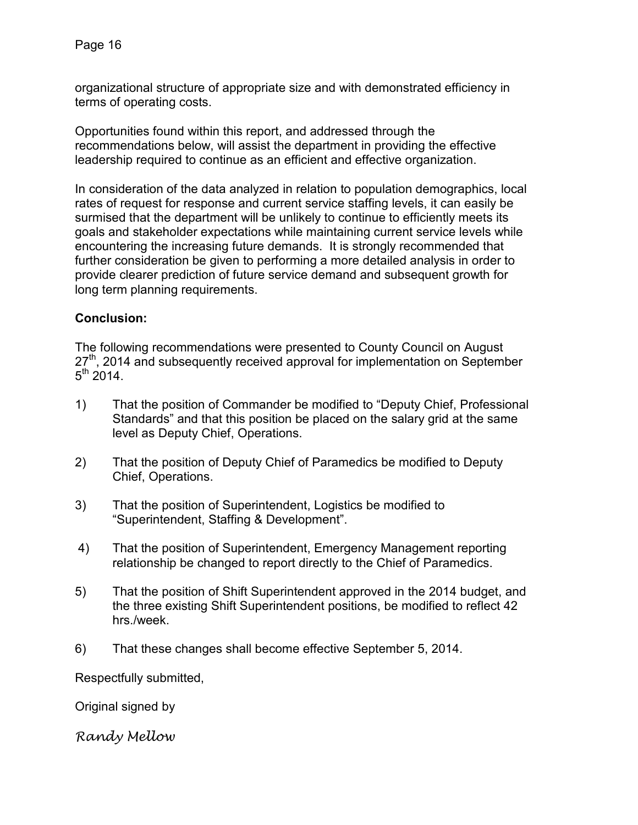organizational structure of appropriate size and with demonstrated efficiency in terms of operating costs.

Opportunities found within this report, and addressed through the recommendations below, will assist the department in providing the effective leadership required to continue as an efficient and effective organization.

In consideration of the data analyzed in relation to population demographics, local rates of request for response and current service staffing levels, it can easily be surmised that the department will be unlikely to continue to efficiently meets its goals and stakeholder expectations while maintaining current service levels while encountering the increasing future demands. It is strongly recommended that further consideration be given to performing a more detailed analysis in order to provide clearer prediction of future service demand and subsequent growth for long term planning requirements.

## **Conclusion:**

The following recommendations were presented to County Council on August 27<sup>th</sup>, 2014 and subsequently received approval for implementation on September  $5^{\text{th}}$  2014.

- 1) That the position of Commander be modified to "Deputy Chief, Professional Standards" and that this position be placed on the salary grid at the same level as Deputy Chief, Operations.
- 2) That the position of Deputy Chief of Paramedics be modified to Deputy Chief, Operations.
- 3) That the position of Superintendent, Logistics be modified to "Superintendent, Staffing & Development".
- 4) That the position of Superintendent, Emergency Management reporting relationship be changed to report directly to the Chief of Paramedics.
- 5) That the position of Shift Superintendent approved in the 2014 budget, and the three existing Shift Superintendent positions, be modified to reflect 42 hrs./week.
- 6) That these changes shall become effective September 5, 2014.

Respectfully submitted,

Original signed by

Randy Mellow